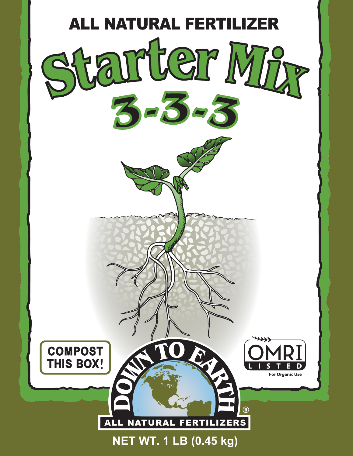